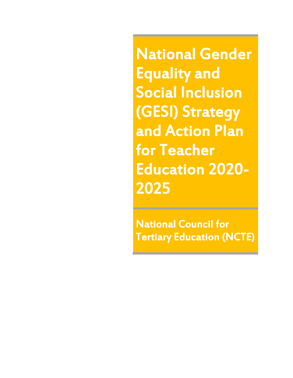National Gender Equality and Social Inclusion (GESI) Strategy and Action Plan for Teacher Education 2020- 2025

National Council for Tertiary Education (NCTE)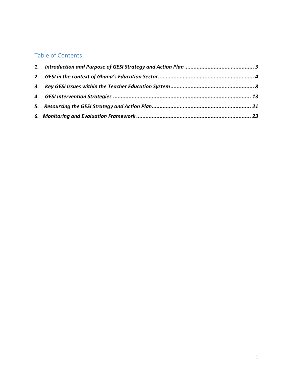#### Table of Contents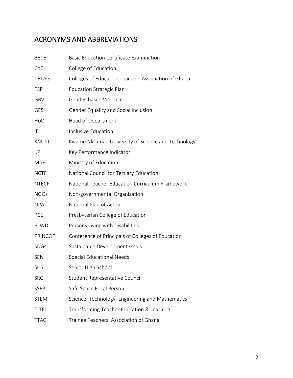# ACRONYMS AND ABBREVIATIONS

| <b>BECE</b>    | <b>Basic Education Certificate Examination</b>      |
|----------------|-----------------------------------------------------|
| CoE            | College of Education                                |
| <b>CETAG</b>   | Colleges of Education Teachers Association of Ghana |
| <b>ESP</b>     | <b>Education Strategic Plan</b>                     |
| GBV            | Gender-based Violence                               |
| <b>GESI</b>    | Gender Equality and Social Inclusion                |
| HoD            | Head of Department                                  |
| IE             | Inclusive Education                                 |
| <b>KNUST</b>   | Kwame Nkrumah University of Science and Technology  |
| <b>KPI</b>     | Key Performance Indicator                           |
| MoE            | Ministry of Education                               |
| <b>NCTE</b>    | National Council for Tertiary Education             |
| <b>NTECF</b>   | National Teacher Education Curriculum Framework     |
| <b>NGOs</b>    | Non-governmental Organisation                       |
| <b>NPA</b>     | National Plan of Action                             |
| PCE            | Presbyterian College of Education                   |
| PLWD           | Persons Living with Disabilities                    |
| <b>PRINCOF</b> | Conference of Principals of Colleges of Education   |
| <b>SDGs</b>    | Sustainable Development Goals                       |
| SEN            | Special Educational Needs                           |
| SHS            | Senior High School                                  |
| <b>SRC</b>     | Student Representative Council                      |
| <b>SSFP</b>    | Safe Space Focal Person                             |
| <b>STEM</b>    | Science, Technology, Engineering and Mathematics    |
| T-TEL          | Transforming Teacher Education & Learning           |
| <b>TTAG</b>    | Trainee Teachers' Association of Ghana              |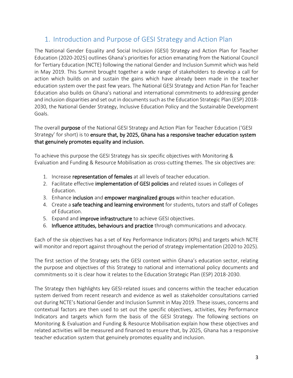#### <span id="page-3-0"></span>1. Introduction and Purpose of GESI Strategy and Action Plan

The National Gender Equality and Social Inclusion (GESI) Strategy and Action Plan for Teacher Education (2020-2025) outlines Ghana's priorities for action emanating from the National Council for Tertiary Education (NCTE) following the national Gender and Inclusion Summit which was held in May 2019. This Summit brought together a wide range of stakeholders to develop a call for action which builds on and sustain the gains which have already been made in the teacher education system over the past few years. The National GESI Strategy and Action Plan for Teacher Education also builds on Ghana's national and international commitments to addressing gender and inclusion disparities and set out in documents such as the Education Strategic Plan (ESP) 2018- 2030, the National Gender Strategy, Inclusive Education Policy and the Sustainable Development Goals.

The overall purpose of the National GESI Strategy and Action Plan for Teacher Education ('GESI Strategy' for short) is to ensure that, by 2025, Ghana has a responsive teacher education system that genuinely promotes equality and inclusion.

To achieve this purpose the GESI Strategy has six specific objectives with Monitoring & Evaluation and Funding & Resource Mobilisation as cross-cutting themes. The six objectives are:

- 1. Increase representation of females at all levels of teacher education.
- 2. Facilitate effective implementation of GESI policies and related issues in Colleges of Education.
- 3. Enhance inclusion and empower marginalized groups within teacher education.
- 4. Create a safe teaching and learning environment for students, tutors and staff of Colleges of Education.
- 5. Expand and **improve infrastructure** to achieve GESI objectives.
- 6. Influence attitudes, behaviours and practice through communications and advocacy.

Each of the six objectives has a set of Key Performance Indicators (KPIs) and targets which NCTE will monitor and report against throughout the period of strategy implementation (2020 to 2025).

The first section of the Strategy sets the GESI context within Ghana's education sector, relating the purpose and objectives of this Strategy to national and international policy documents and commitments so it is clear how it relates to the Education Strategic Plan (ESP) 2018-2030.

The Strategy then highlights key GESI-related issues and concerns within the teacher education system derived from recent research and evidence as well as stakeholder consultations carried out during NCTE's National Gender and Inclusion Summit in May 2019. These issues, concerns and contextual factors are then used to set out the specific objectives, activities, Key Performance Indicators and targets which form the basis of the GESI Strategy. The following sections on Monitoring & Evaluation and Funding & Resource Mobilisation explain how these objectives and related activities will be measured and financed to ensure that, by 2025, Ghana has a responsive teacher education system that genuinely promotes equality and inclusion.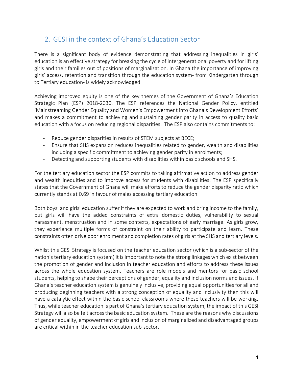### <span id="page-4-0"></span>2. GESI in the context of Ghana's Education Sector

There is a significant body of evidence demonstrating that addressing inequalities in girls' education is an effective strategy for breaking the cycle of intergenerational poverty and for lifting girls and their families out of positions of marginalization. In Ghana the importance of improving girls' access, retention and transition through the education system- from Kindergarten through to Tertiary education- is widely acknowledged.

Achieving improved equity is one of the key themes of the Government of Ghana's Education Strategic Plan (ESP) 2018-2030. The ESP references the National Gender Policy, entitled 'Mainstreaming Gender Equality and Women's Empowerment into Ghana's Development Efforts' and makes a commitment to achieving and sustaining gender parity in access to quality basic education with a focus on reducing regional disparities. The ESP also contains commitments to:

- Reduce gender disparities in results of STEM subjects at BECE;
- Ensure that SHS expansion reduces inequalities related to gender, wealth and disabilities including a specific commitment to achieving gender parity in enrolments;
- Detecting and supporting students with disabilities within basic schools and SHS.

For the tertiary education sector the ESP commits to taking affirmative action to address gender and wealth inequities and to improve access for students with disabilities. The ESP specifically states that the Government of Ghana will make efforts to reduce the gender disparity ratio which currently stands at 0.69 in favour of males accessing tertiary education.

Both boys' and girls' education suffer if they are expected to work and bring income to the family, but girls will have the added constraints of extra domestic duties, vulnerability to sexual harassment, menstruation and in some contexts, expectations of early marriage. As girls grow, they experience multiple forms of constraint on their ability to participate and learn. These constraints often drive poor enrolment and completion rates of girls at the SHS and tertiary levels.

Whilst this GESI Strategy is focused on the teacher education sector (which is a sub-sector of the nation's tertiary education system) it is important to note the strong linkages which exist between the promotion of gender and inclusion in teacher education and efforts to address these issues across the whole education system. Teachers are role models and mentors for basic school students, helping to shape their perceptions of gender, equality and inclusion norms and issues. If Ghana's teacher education system is genuinely inclusive, providing equal opportunities for all and producing beginning teachers with a strong conception of equality and inclusivity then this will have a catalytic effect within the basic school classrooms where these teachers will be working. Thus, while teacher education is part of Ghana's tertiary education system, the impact of this GESI Strategy will also be felt across the basic education system. These are the reasons why discussions of gender equality, empowerment of girls and inclusion of marginalized and disadvantaged groups are critical within in the teacher education sub-sector.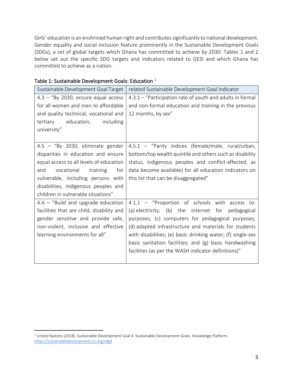Girls' education is an enshrined human right and contributes significantly to national development. Gender equality and social inclusion feature prominently in the Sustainable Development Goals (SDGs), a set of global targets which Ghana has committed to achieve by 2030. Tables 1 and 2 below set out the specific SDG targets and indicators related to GESI and which Ghana has committed to achieve as a nation.

| Sustainable Development Goal Target       | related Sustainable Development Goal Indicator              |  |  |
|-------------------------------------------|-------------------------------------------------------------|--|--|
| $4.3 -$ "By 2030, ensure equal access     | 4.3.1 - "Participation rate of youth and adults in formal   |  |  |
| for all women and men to affordable       | and non-formal education and training in the previous       |  |  |
| and quality technical, vocational and     | 12 months, by sex"                                          |  |  |
| including<br>tertiary<br>education,       |                                                             |  |  |
| university"                               |                                                             |  |  |
|                                           |                                                             |  |  |
| 4.5 - "By 2030, eliminate gender          | 4.5.1 - "Parity indices (female/male, rural/urban,          |  |  |
| disparities in education and ensure       | bottom/top wealth quintile and others such as disability    |  |  |
| equal access to all levels of education   | status, indigenous peoples and conflict-affected, as        |  |  |
| vocational training<br>and<br>for         | data become available) for all education indicators on      |  |  |
| vulnerable, including persons with        | this list that can be disaggregated"                        |  |  |
| disabilities, indigenous peoples and      |                                                             |  |  |
| children in vulnerable situations"        |                                                             |  |  |
| $4.A - "Build and upgrade education$      | 4.1.1 - "Proportion of schools with access to:              |  |  |
| facilities that are child, disability and | (a) electricity; (b) the Internet for pedagogical           |  |  |
| gender sensitive and provide safe,        | purposes; (c) computers for pedagogical purposes;           |  |  |
| non-violent, inclusive and effective      | (d) adapted infrastructure and materials for students       |  |  |
| learning environments for all"            | with disabilities; (e) basic drinking water; (f) single-sex |  |  |
|                                           | basic sanitation facilities; and (g) basic handwashing      |  |  |
|                                           | facilities (as per the WASH indicator definitions)"         |  |  |
|                                           |                                                             |  |  |

#### Table 1: Sustainable Development Goals: Education  $^1$

<sup>1</sup> United Nations (2018). Sustainable Development Goal 4. Sustainable Development Goals. Knowledge Platform. <https://sustainabledevelopment.un.org/sdg4>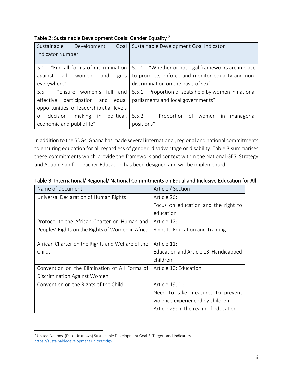| Table 2: Sustainable Development Goals: Gender Equality <sup>2</sup> |
|----------------------------------------------------------------------|
|----------------------------------------------------------------------|

| Sustainable Development<br>Goal            | Sustainable Development Goal Indicator                                                 |  |  |
|--------------------------------------------|----------------------------------------------------------------------------------------|--|--|
| <b>Indicator Number</b>                    |                                                                                        |  |  |
| 5.1 - "End all forms of discrimination     | 5.1.1 – "Whether or not legal frameworks are in place                                  |  |  |
| girls<br>against all women and             | to promote, enforce and monitor equality and non-                                      |  |  |
| everywhere"                                | discrimination on the basis of sex"                                                    |  |  |
|                                            | 5.5 - "Ensure women's full and   5.5.1 - Proportion of seats held by women in national |  |  |
| participation and equal<br>effective       | parliaments and local governments"                                                     |  |  |
| opportunities for leadership at all levels |                                                                                        |  |  |
| decision-<br>of                            | making in political, $\vert$ 5.5.2 – "Proportion of women in managerial                |  |  |
| economic and public life"                  | positions"                                                                             |  |  |

In addition to the SDGs, Ghana has made several international, regional and national commitments to ensuring education for all regardless of gender, disadvantage or disability. Table 3 summarises these commitments which provide the framework and context within the National GESI Strategy and Action Plan for Teacher Education has been designed and will be implemented.

| Name of Document                                 | Article / Section                     |
|--------------------------------------------------|---------------------------------------|
| Universal Declaration of Human Rights            | Article 26:                           |
|                                                  | Focus on education and the right to   |
|                                                  | education                             |
| Protocol to the African Charter on Human and     | Article 12:                           |
| Peoples' Rights on the Rights of Women in Africa | Right to Education and Training       |
|                                                  |                                       |
| African Charter on the Rights and Welfare of the | Article 11:                           |
| Child.                                           | Education and Article 13: Handicapped |
|                                                  | children                              |
| Convention on the Elimination of All Forms of    | Article 10: Education                 |
| Discrimination Against Women                     |                                       |
| Convention on the Rights of the Child            | Article 19, 1.:                       |
|                                                  | Need to take measures to prevent      |
|                                                  | violence experienced by children.     |
|                                                  | Article 29: In the realm of education |

<sup>2</sup> United Nations. (Date Unknown) Sustainable Development Goal 5. Targets and Indicators. <https://sustainabledevelopment.un.org/sdg5>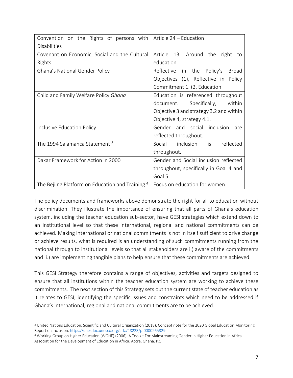| Convention on the Rights of persons with         | Article 24 - Education                     |  |  |
|--------------------------------------------------|--------------------------------------------|--|--|
| <b>Disabilities</b>                              |                                            |  |  |
| Covenant on Economic, Social and the Cultural    | Article 13: Around the<br>right<br>to      |  |  |
| Rights                                           | education                                  |  |  |
| Ghana's National Gender Policy                   | Reflective in the Policy's<br><b>Broad</b> |  |  |
|                                                  | Objectives (1), Reflective in<br>Policy    |  |  |
|                                                  | Commitment 1. (2. Education                |  |  |
| Child and Family Welfare Policy Ghana            | Education is referenced throughout         |  |  |
|                                                  | Specifically,<br>document.<br>within       |  |  |
|                                                  | Objective 3 and strategy 3.2 and within    |  |  |
|                                                  | Objective 4, strategy 4.1.                 |  |  |
| Inclusive Education Policy                       | Gender and social inclusion<br>are         |  |  |
|                                                  | reflected throughout.                      |  |  |
| The 1994 Salamanca Statement <sup>3</sup>        | Social inclusion<br>is<br>reflected        |  |  |
|                                                  | throughout.                                |  |  |
| Dakar Framework for Action in 2000               | Gender and Social inclusion reflected      |  |  |
|                                                  | throughout, specifically in Goal 4 and     |  |  |
|                                                  | Goal 5.                                    |  |  |
| The Bejiing Platform on Education and Training 4 | Focus on education for women.              |  |  |

The policy documents and frameworks above demonstrate the right for all to education without discrimination. They illustrate the importance of ensuring that all parts of Ghana's education system, including the teacher education sub-sector, have GESI strategies which extend down to an institutional level so that these international, regional and national commitments can be achieved. Making international or national commitments is not in itself sufficient to drive change or achieve results, what is required is an understanding of such commitments running from the national through to institutional levels so that all stakeholders are i.) aware of the commitments and ii.) are implementing tangible plans to help ensure that these commitments are achieved.

This GESI Strategy therefore contains a range of objectives, activities and targets designed to ensure that all institutions within the teacher education system are working to achieve these commitments. The next section of this Strategy sets out the current state of teacher education as it relates to GESI, identifying the specific issues and constraints which need to be addressed if Ghana's international, regional and national commitments are to be achieved.

<sup>3</sup> United Nations Education, Scientific and Cultural Organization (2018). Concept note for the 2020 Global Education Monitoring Report on inclusion[. https://unesdoc.unesco.org/ark:/48223/pf0000265329](https://unesdoc.unesco.org/ark:/48223/pf0000265329)

<sup>4</sup> Working Group on Higher Education (WGHE) (2006). A Toolkit For Mainstreaming Gender in Higher Education in Africa. Association for the Development of Education in Africa. Accra, Ghana. P.5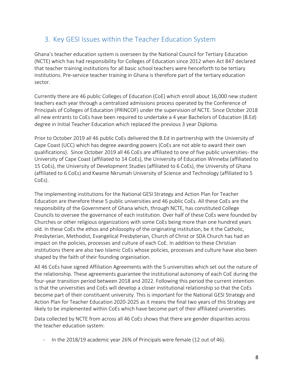### <span id="page-8-0"></span>3. Key GESI Issues within the Teacher Education System

Ghana's teacher education system is overseen by the National Council for Tertiary Education (NCTE) which has had responsibility for Colleges of Education since 2012 when Act 847 declared that teacher training institutions for all basic school teachers were henceforth to be tertiary institutions. Pre-service teacher training in Ghana is therefore part of the tertiary education sector.

Currently there are 46 public Colleges of Education (CoE) which enroll about 16,000 new student teachers each year through a centralized admissions process operated by the Conference of Principals of Colleges of Education (PRINCOF) under the supervision of NCTE. Since October 2018 all new entrants to CoEs have been required to undertake a 4 year Bachelors of Education (B.Ed) degree in Initial Teacher Education which replaced the previous 3 year Diploma.

Prior to October 2019 all 46 public CoEs delivered the B.Ed in partnership with the University of Cape Coast (UCC) which has degree awarding powers (CoEs are not able to award their own qualifications). Since October 2019 all 46 CoEs are affiliated to one of five public universities- the University of Cape Coast (affiliated to 14 CoEs), the University of Education Winneba (affiliated to 15 CoEs), the University of Development Studies (affiliated to 6 CoEs), the University of Ghana (affiliated to 6 CoEs) and Kwame Nkrumah University of Science and Technology (affiliated to 5 CoEs).

The implementing institutions for the National GESI Strategy and Action Plan for Teacher Education are therefore these 5 public universities and 46 public CoEs. All these CoEs are the responsibility of the Government of Ghana which, through NCTE, has constituted College Councils to oversee the governance of each institution. Over half of these CoEs were founded by Churches or other religious organizations with some CoEs being more than one hundred years old. In these CoEs the ethos and philosophy of the originating institution, be it the Catholic, Presbyterian, Methodist, Evangelical Presbyterian, Church of Christ or SDA Church has had an impact on the policies, processes and culture of each CoE. In addition to these Christian institutions there are also two Islamic CoEs whose policies, processes and culture have also been shaped by the faith of their founding organisation.

All 46 CoEs have signed Affiliation Agreements with the 5 universities which set out the nature of the relationship. These agreements guarantee the institutional autonomy of each CoE during the four-year transition period between 2018 and 2022. Following this period the current intention is that the universities and CoEs will develop a closer institutional relationship so that the CoEs become part of their constituent university. This is important for the National GESI Strategy and Action Plan for Teacher Education 2020-2025 as it means the final two years of this Strategy are likely to be implemented within CoEs which have become part of their affiliated universities.

Data collected by NCTE from across all 46 CoEs shows that there are gender disparities across the teacher education system:

In the 2018/19 academic year 26% of Principals were female (12 out of 46).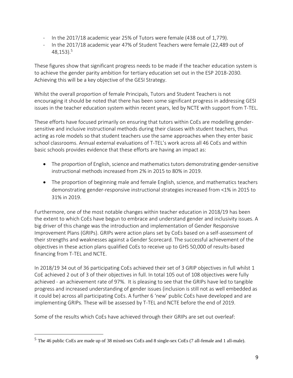- In the 2017/18 academic year 25% of Tutors were female (438 out of 1,779).
- In the 2017/18 academic year 47% of Student Teachers were female (22,489 out of  $48,153$ ).<sup>5</sup>

These figures show that significant progress needs to be made if the teacher education system is to achieve the gender parity ambition for tertiary education set out in the ESP 2018-2030. Achieving this will be a key objective of the GESI Strategy.

Whilst the overall proportion of female Principals, Tutors and Student Teachers is not encouraging it should be noted that there has been some significant progress in addressing GESI issues in the teacher education system within recent years, led by NCTE with support from T-TEL.

These efforts have focused primarily on ensuring that tutors within CoEs are modelling gendersensitive and inclusive instructional methods during their classes with student teachers, thus acting as role models so that student teachers use the same approaches when they enter basic school classrooms. Annual external evaluations of T-TEL's work across all 46 CoEs and within basic schools provides evidence that these efforts are having an impact as:

- The proportion of English, science and mathematics tutors demonstrating gender-sensitive instructional methods increased from 2% in 2015 to 80% in 2019.
- The proportion of beginning male and female English, science, and mathematics teachers demonstrating gender-responsive instructional strategies increased from <1% in 2015 to 31% in 2019.

Furthermore, one of the most notable changes within teacher education in 2018/19 has been the extent to which CoEs have begun to embrace and understand gender and inclusivity issues. A big driver of this change was the introduction and implementation of Gender Responsive Improvement Plans (GRIPs). GRIPs were action plans set by CoEs based on a self-assessment of their strengths and weaknesses against a Gender Scorecard. The successful achievement of the objectives in these action plans qualified CoEs to receive up to GHS 50,000 of results-based financing from T-TEL and NCTE.

In 2018/19 34 out of 36 participating CoEs achieved their set of 3 GRIP objectives in full whilst 1 CoE achieved 2 out of 3 of their objectives in full. In total 105 out of 108 objectives were fully achieved - an achievement rate of 97%. It is pleasing to see that the GRIPs have led to tangible progress and increased understanding of gender issues (inclusion is still not as well embedded as it could be) across all participating CoEs. A further 6 'new' public CoEs have developed and are implementing GRIPs. These will be assessed by T-TEL and NCTE before the end of 2019.

Some of the results which CoEs have achieved through their GRIPs are set out overleaf:

<sup>5</sup> The 46 public CoEs are made up of 38 mixed-sex CoEs and 8 single-sex CoEs (7 all-female and 1 all-male).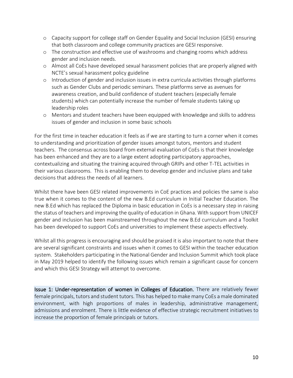- o Capacity support for college staff on Gender Equality and Social Inclusion (GESI) ensuring that both classroom and college community practices are GESI responsive.
- o The construction and effective use of washrooms and changing rooms which address gender and inclusion needs.
- o Almost all CoEs have developed sexual harassment policies that are properly aligned with NCTE's sexual harassment policy guideline
- o Introduction of gender and inclusion issues in extra curricula activities through platforms such as Gender Clubs and periodic seminars. These platforms serve as avenues for awareness creation, and build confidence of student teachers (especially female students) which can potentially increase the number of female students taking up leadership roles
- o Mentors and student teachers have been equipped with knowledge and skills to address issues of gender and inclusion in some basic schools

For the first time in teacher education it feels as if we are starting to turn a corner when it comes to understanding and prioritization of gender issues amongst tutors, mentors and student teachers. The consensus across board from external evaluation of CoEs is that their knowledge has been enhanced and they are to a large extent adopting participatory approaches, contextualizing and situating the training acquired through GRIPs and other T-TEL activities in their various classrooms. This is enabling them to develop gender and inclusive plans and take decisions that address the needs of all learners.

Whilst there have been GESI related improvements in CoE practices and policies the same is also true when it comes to the content of the new B.Ed curriculum in Initial Teacher Education. The new B.Ed which has replaced the Diploma in basic education in CoEs is a necessary step in raising the status of teachers and improving the quality of education in Ghana. With support from UNICEF gender and inclusion has been mainstreamed throughout the new B.Ed curriculum and a Toolkit has been developed to support CoEs and universities to implement these aspects effectively.

Whilst all this progress is encouraging and should be praised it is also important to note that there are several significant constraints and issues when it comes to GESI within the teacher education system. Stakeholders participating in the National Gender and Inclusion Summit which took place in May 2019 helped to identify the following issues which remain a significant cause for concern and which this GESI Strategy will attempt to overcome.

Issue 1: Under-representation of women in Colleges of Education. There are relatively fewer female principals, tutors and student tutors. This has helped to make many CoEs a male dominated environment, with high proportions of males in leadership, administrative management, admissions and enrolment. There is little evidence of effective strategic recruitment initiatives to increase the proportion of female principals or tutors.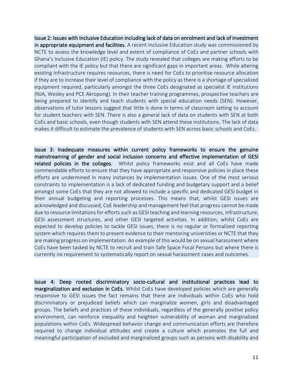Issue 2: Issues with Inclusive Education including lack of data on enrolment and lack of investment in appropriate equipment and facilities. A recent Inclusive Education study was commissioned by NCTE to assess the knowledge level and extent of compliance of CoEs and partner schools with Ghana's Inclusive Education (IE) policy. The study revealed that colleges are making efforts to be compliant with the IE policy but that there are significant gaps in important areas. While altering existing infrastructure requires resources, there is need for CoEs to prioritise resource allocation if they are to increase their level of compliance with the policy as there is a shortage of specialized equipment required, particularly amongst the three CoEs designated as specialist IE institutions (NJA, Wesley and PCE Akropong). In their teacher training programmes, prospective teachers are being prepared to identify and teach students with special education needs (SEN). However, observations of tutor lessons suggest that little is done in terms of classroom setting to account for student teachers with SEN. There is also a general lack of data on students with SEN at both CoEs and basic schools, even though students with SEN attend these institutions. The lack of data makes it difficult to estimate the prevalence of students with SEN across basic schools and CoEs.

Issue 3: Inadequate measures within current policy frameworks to ensure the genuine mainstreaming of gender and social inclusion concerns and effective implementation of GESI related policies in the colleges. Whilst policy frameworks exist and all CoEs have made commendable efforts to ensure that they have appropriate and responsive policies in place these efforts are undermined in many instances by implementation issues. One of the most serious constraints to implementation is a lack of dedicated funding and budgetary support and a belief amongst some CoEs that they are not allowed to include a specific and dedicated GESI budget in their annual budgeting and reporting processes. This means that, whilst GESI issues are acknowledged and discussed, CoE leadership and management feel that progress cannot be made due to resource limitations for efforts such as GESI teaching and learning resources, infrastructure, GESI assessment structures, and other GESI targeted activities. In addition, whilst CoEs are expected to develop policies to tackle GESI issues, there is no regular or formalized reporting system which requires them to present evidence to their mentoring universities or NCTE that they are making progress on implementation. An example of this would be on sexual harassment where CoEs have been tasked by NCTE to recruit and train Safe Space Focal Persons but where there is currently no requirement to systematically report on sexual harassment cases and outcomes.

Issue 4: Deep rooted discriminatory socio-cultural and institutional practices lead to marginalization and exclusion in CoEs. Whilst CoEs have developed policies which are generally responsive to GESI issues the fact remains that there are individuals within CoEs who hold discriminatory or prejudiced beliefs which can marginalize women, girls and disadvantaged groups. The beliefs and practices of these individuals, regardless of the generally positive policy environment, can reinforce inequality and heighten vulnerability of woman and marginalized populations within CoEs. Widespread behavior change and communication efforts are therefore required to change individual attitudes and create a culture which promotes the full and meaningful participation of excluded and marginalized groups such as persons with disability and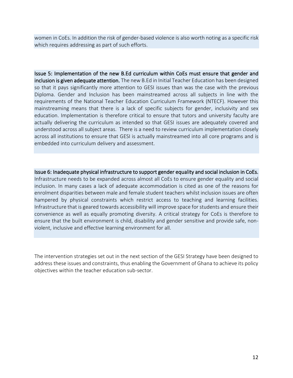women in CoEs. In addition the risk of gender-based violence is also worth noting as a specific risk which requires addressing as part of such efforts.

Issue 5: Implementation of the new B.Ed curriculum within CoEs must ensure that gender and inclusion is given adequate attention. The new B.Ed in Initial Teacher Education has been designed so that it pays significantly more attention to GESI issues than was the case with the previous Diploma. Gender and Inclusion has been mainstreamed across all subjects in line with the requirements of the National Teacher Education Curriculum Framework (NTECF). However this mainstreaming means that there is a lack of specific subjects for gender, inclusivity and sex education. Implementation is therefore critical to ensure that tutors and university faculty are actually delivering the curriculum as intended so that GESI issues are adequately covered and understood across all subject areas. There is a need to review curriculum implementation closely across all institutions to ensure that GESI is actually mainstreamed into all core programs and is embedded into curriculum delivery and assessment.

Issue 6: Inadequate physical infrastructure to support gender equality and social inclusion in CoEs. Infrastructure needs to be expanded across almost all CoEs to ensure gender equality and social inclusion. In many cases a lack of adequate accommodation is cited as one of the reasons for enrolment disparities between male and female student teachers whilst inclusion issues are often hampered by physical constraints which restrict access to teaching and learning facilities. Infrastructure that is geared towards accessibility will improve space for students and ensure their convenience as well as equally promoting diversity. A critical strategy for CoEs is therefore to ensure that the built environment is child, disability and gender sensitive and provide safe, nonviolent, inclusive and effective learning environment for all.

The intervention strategies set out in the next section of the GESI Strategy have been designed to address these issues and constraints, thus enabling the Government of Ghana to achieve its policy objectives within the teacher education sub-sector.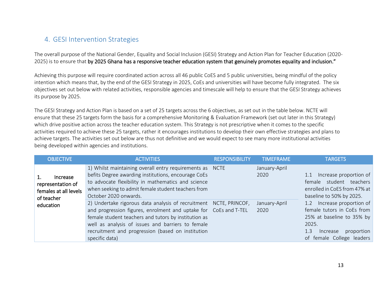#### 4. GESI Intervention Strategies

The overall purpose of the National Gender, Equality and Social Inclusion (GESI) Strategy and Action Plan for Teacher Education (2020- 2025) is to ensure that by 2025 Ghana has a responsive teacher education system that genuinely promotes equality and inclusion."

Achieving this purpose will require coordinated action across all 46 public CoES and 5 public universities, being mindful of the policy intention which means that, by the end of the GESI Strategy in 2025, CoEs and universities will have become fully integrated. The six objectives set out below with related activities, responsible agencies and timescale will help to ensure that the GESI Strategy achieves its purpose by 2025.

<span id="page-13-0"></span>The GESI Strategy and Action Plan is based on a set of 25 targets across the 6 objectives, as set out in the table below. NCTE will ensure that these 25 targets form the basis for a comprehensive Monitoring & Evaluation Framework (set out later in this Strategy) which drive positive action across the teacher education system. This Strategy is not prescriptive when it comes to the specific activities required to achieve these 25 targets, rather it encourages institutions to develop their own effective strategies and plans to achieve targets. The activities set out below are thus not definitive and we would expect to see many more institutional activities being developed within agencies and institutions.

| <b>OBJECTIVE</b>                                                     | <b>ACTIVITIES</b>                                                                                                                                                                                                                                                                                                         | <b>RESPONSIBILITY</b> | <b>TIMEFRAME</b>      | <b>TARGETS</b>                                                                                                                                                                                                                                                                    |
|----------------------------------------------------------------------|---------------------------------------------------------------------------------------------------------------------------------------------------------------------------------------------------------------------------------------------------------------------------------------------------------------------------|-----------------------|-----------------------|-----------------------------------------------------------------------------------------------------------------------------------------------------------------------------------------------------------------------------------------------------------------------------------|
| Increase<br>representation of<br>females at all levels<br>of teacher | 1) Whilst maintaining overall entry requirements as NCTE<br>befits Degree awarding institutions, encourage CoEs<br>to advocate flexibility in mathematics and science<br>when seeking to admit female student teachers from<br>October 2020 onwards.                                                                      |                       | January-April<br>2020 | 1.1 Increase proportion of<br>female student teachers<br>enrolled in CoES from 47% at<br>baseline to 50% by 2025.<br>1.2 Increase proportion of<br>female tutors in CoEs from<br>25% at baseline to 35% by<br>2025.<br>proportion<br>1.3<br>Increase<br>of female College leaders |
| education                                                            | 2) Undertake rigorous data analysis of recruitment NCTE, PRINCOF,<br>and progression figures, enrolment and uptake for CoEs and T-TEL<br>female student teachers and tutors by institution as<br>well as analysis of issues and barriers to female<br>recruitment and progression (based on institution<br>specific data) |                       | January-April<br>2020 |                                                                                                                                                                                                                                                                                   |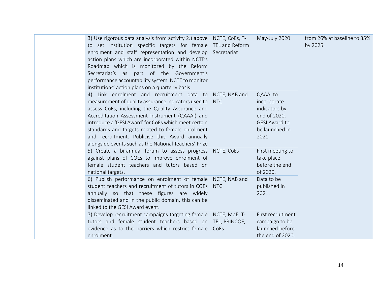| 3) Use rigorous data analysis from activity 2.) above NCTE, CoEs, T-<br>to set institution specific targets for female TEL and Reform<br>enrolment and staff representation and develop Secretariat<br>action plans which are incorporated within NCTE's<br>Roadmap which is monitored by the Reform<br>Secretariat's as part of the Government's<br>performance accountability system. NCTE to monitor<br>institutions' action plans on a quarterly basis. |                          | May-July 2020                                                                                                      | from 26% at baseline to 35%<br>by 2025. |
|-------------------------------------------------------------------------------------------------------------------------------------------------------------------------------------------------------------------------------------------------------------------------------------------------------------------------------------------------------------------------------------------------------------------------------------------------------------|--------------------------|--------------------------------------------------------------------------------------------------------------------|-----------------------------------------|
| 4) Link enrolment and recruitment data to NCTE, NAB and<br>measurement of quality assurance indicators used to<br>assess CoEs, including the Quality Assurance and<br>Accreditation Assessment Instrument (QAAAI) and<br>introduce a 'GESI Award' for CoEs which meet certain<br>standards and targets related to female enrolment<br>and recruitment. Publicise this Award annually<br>alongside events such as the National Teachers' Prize               | <b>NTC</b>               | <b>QAAAI</b> to<br>incorporate<br>indicators by<br>end of 2020.<br><b>GESI Award to</b><br>be launched in<br>2021. |                                         |
| 5) Create a bi-annual forum to assess progress<br>against plans of COEs to improve enrolment of<br>female student teachers and tutors based on<br>national targets.<br>6) Publish performance on enrolment of female NCTE, NAB and<br>student teachers and recruitment of tutors in COEs<br>annually so that these figures are widely<br>disseminated and in the public domain, this can be<br>linked to the GESI Award event.                              | NCTE, CoEs<br><b>NTC</b> | First meeting to<br>take place<br>before the end<br>of 2020.<br>Data to be<br>published in<br>2021.                |                                         |
| 7) Develop recruitment campaigns targeting female NCTE, MoE, T-<br>tutors and female student teachers based on TEL, PRINCOF,<br>evidence as to the barriers which restrict female CoEs<br>enrolment.                                                                                                                                                                                                                                                        |                          | First recruitment<br>campaign to be<br>launched before<br>the end of 2020.                                         |                                         |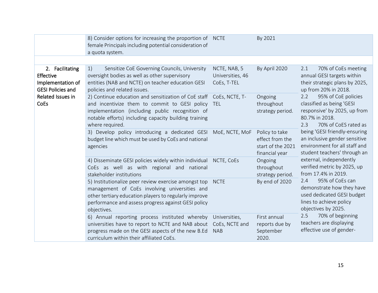|                                                                               | 8) Consider options for increasing the proportion of NCTE<br>female Principals including potential consideration of<br>a quota system.                                                                                                              |                                                 | By 2021                                                                  |                                                                                                                                                                                                                                                                             |
|-------------------------------------------------------------------------------|-----------------------------------------------------------------------------------------------------------------------------------------------------------------------------------------------------------------------------------------------------|-------------------------------------------------|--------------------------------------------------------------------------|-----------------------------------------------------------------------------------------------------------------------------------------------------------------------------------------------------------------------------------------------------------------------------|
|                                                                               |                                                                                                                                                                                                                                                     |                                                 |                                                                          |                                                                                                                                                                                                                                                                             |
| 2. Facilitating<br>Effective<br>Implementation of<br><b>GESI Policies and</b> | 1)<br>Sensitize CoE Governing Councils, University<br>oversight bodies as well as other supervisory<br>entities (NAB and NCTE) on teacher education GESI<br>policies and related issues.                                                            | NCTE, NAB, 5<br>Universities, 46<br>CoEs, T-TEL | By April 2020                                                            | 2.1<br>70% of CoEs meeting<br>annual GESI targets within<br>their strategic plans by 2025,<br>up from 20% in 2018.                                                                                                                                                          |
| Related Issues in<br><b>CoEs</b>                                              | 2) Continue education and sensitization of CoE staff CoEs, NCTE, T-<br>and incentivize them to commit to GESI policy<br>implementation (including public recognition of<br>notable efforts) including capacity building training<br>where required. | <b>TEL</b>                                      | Ongoing<br>throughout<br>strategy period.                                | 95% of CoE policies<br>2.2<br>classified as being 'GESI<br>responsive' by 2025, up from<br>80.7% in 2018.<br>70% of CoES rated as<br>2.3<br>being 'GESI friendly-ensuring<br>an inclusive gender sensitive<br>environment for all staff and<br>student teachers' through an |
|                                                                               | 3) Develop policy introducing a dedicated GESI MoE, NCTE, MoF<br>budget line which must be used by CoEs and national<br>agencies                                                                                                                    |                                                 | Policy to take<br>effect from the<br>start of the 2021<br>financial year |                                                                                                                                                                                                                                                                             |
|                                                                               | 4) Disseminate GESI policies widely within individual NCTE, CoEs<br>CoEs as well as with regional and national<br>stakeholder institutions                                                                                                          |                                                 | Ongoing<br>throughout<br>strategy period.                                | external, independently<br>verified metric by 2025, up<br>from 17.4% in 2019.                                                                                                                                                                                               |
|                                                                               | 5) Institutionalize peer review exercise amongst top NCTE<br>management of CoEs involving universities and<br>other tertiary education players to regularly improve<br>performance and assess progress against GESI policy<br>objectives.           |                                                 | By end of 2020                                                           | 95% of CoEs can<br>2.4<br>demonstrate how they have<br>used dedicated GESI budget<br>lines to achieve policy<br>objectives by 2025.                                                                                                                                         |
|                                                                               | 6) Annual reporting process instituted whereby<br>universities have to report to NCTE and NAB about CoEs, NCTE and<br>progress made on the GESI aspects of the new B.Ed<br>curriculum within their affiliated CoEs.                                 | Universities,<br><b>NAB</b>                     | First annual<br>reports due by<br>September<br>2020.                     | 70% of beginning<br>2.5<br>teachers are displaying<br>effective use of gender-                                                                                                                                                                                              |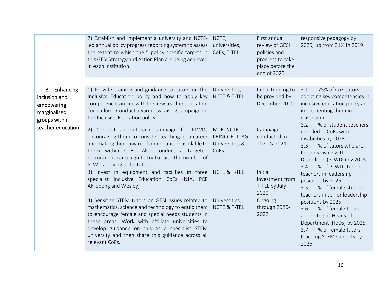|                                                                              | 7) Establish and implement a university and NCTE- NCTE,<br>led annual policy progress reporting system to assess<br>the extent to which the 5 policy specific targets in<br>this GESI Strategy and Action Plan are being achieved<br>in each institution.                                                                                                                                                                                                                                       | universities,<br>CoEs, T-TEL                            | First annual<br>review of GESI<br>policies and<br>progress to take<br>place before the<br>end of 2020. | responsive pedagogy by<br>2025, up from 31% in 2019.                                                                                                                                                                                                                                                                                                                                                                                                                                                                                                                                                                           |
|------------------------------------------------------------------------------|-------------------------------------------------------------------------------------------------------------------------------------------------------------------------------------------------------------------------------------------------------------------------------------------------------------------------------------------------------------------------------------------------------------------------------------------------------------------------------------------------|---------------------------------------------------------|--------------------------------------------------------------------------------------------------------|--------------------------------------------------------------------------------------------------------------------------------------------------------------------------------------------------------------------------------------------------------------------------------------------------------------------------------------------------------------------------------------------------------------------------------------------------------------------------------------------------------------------------------------------------------------------------------------------------------------------------------|
|                                                                              |                                                                                                                                                                                                                                                                                                                                                                                                                                                                                                 |                                                         |                                                                                                        |                                                                                                                                                                                                                                                                                                                                                                                                                                                                                                                                                                                                                                |
| 3. Enhancing<br>inclusion and<br>empowering<br>marginalised<br>groups within | 1) Provide training and guidance to tutors on the Universities,<br>Inclusive Education policy and how to apply key NCTE & T-TEL<br>competencies in line with the new teacher education<br>curriculum. Conduct awareness raising campaign on<br>the Inclusive Education policy.                                                                                                                                                                                                                  |                                                         | Initial training to<br>be provided by<br>December 2020                                                 | 75% of CoE tutors<br>3.1<br>adopting key competencies in<br>inclusive education policy and<br>implementing them in<br>classroom<br>3.2<br>% of student teachers<br>enrolled in CoEs with<br>disabilities by 2025<br>% of tutors who are<br>3.3<br>Persons Living with<br>Disabilities (PLWDs) by 2025.<br>% of PLWD student<br>3.4<br>teachers in leadership<br>positions by 2025.<br>3.5<br>% of female student<br>teachers in senior leadership<br>positions by 2025.<br>3.6<br>% of female tutors<br>appointed as Heads of<br>Department (HoDs) by 2025.<br>% of female tutors<br>3.7<br>teaching STEM subjects by<br>2025. |
| teacher education                                                            | 2) Conduct an outreach campaign for PLWDs<br>encouraging them to consider teaching as a career<br>and making them aware of opportunities available to<br>them within CoEs. Also conduct a targeted<br>recruitment campaign to try to raise the number of<br>PLWD applying to be tutors.                                                                                                                                                                                                         | MoE, NCTE,<br>PRINCOF, TTAG,<br>Universities &<br>CoEs. | Campaign<br>conducted in<br>2020 & 2021.                                                               |                                                                                                                                                                                                                                                                                                                                                                                                                                                                                                                                                                                                                                |
|                                                                              | 3) Invest in equipment and facilities in three NCTE & T-TEL<br>specialist Inclusive Education CoEs (NJA, PCE<br>Akropong and Wesley)<br>4) Sensitize STEM tutors on GESI issues related to Universities,<br>mathematics, science and technology to equip them<br>to encourage female and special needs students in<br>these areas. Work with affiliate universities to<br>develop guidance on this as a specialist STEM<br>university and then share this guidance across all<br>relevant CoEs. |                                                         | Initial<br>investment from<br>T-TEL by July<br>2020.                                                   |                                                                                                                                                                                                                                                                                                                                                                                                                                                                                                                                                                                                                                |
|                                                                              |                                                                                                                                                                                                                                                                                                                                                                                                                                                                                                 | NCTE & T-TEL                                            | Ongoing<br>through 2020-<br>2022                                                                       |                                                                                                                                                                                                                                                                                                                                                                                                                                                                                                                                                                                                                                |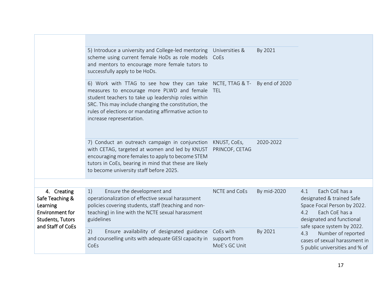|                                                                                                                      | 5) Introduce a university and College-led mentoring Universities &<br>scheme using current female HoDs as role models<br>and mentors to encourage more female tutors to<br>successfully apply to be HoDs.                                                                                                    | CoEs                                       | By 2021        |                                                                                                                                                                       |  |
|----------------------------------------------------------------------------------------------------------------------|--------------------------------------------------------------------------------------------------------------------------------------------------------------------------------------------------------------------------------------------------------------------------------------------------------------|--------------------------------------------|----------------|-----------------------------------------------------------------------------------------------------------------------------------------------------------------------|--|
|                                                                                                                      | 6) Work with TTAG to see how they can take NCTE, TTAG & T-<br>measures to encourage more PLWD and female<br>student teachers to take up leadership roles within<br>SRC. This may include changing the constitution, the<br>rules of elections or mandating affirmative action to<br>increase representation. | <b>TEL</b>                                 | By end of 2020 |                                                                                                                                                                       |  |
|                                                                                                                      | 7) Conduct an outreach campaign in conjunction<br>with CETAG, targeted at women and led by KNUST<br>encouraging more females to apply to become STEM<br>tutors in CoEs, bearing in mind that these are likely<br>to become university staff before 2025.                                                     | KNUST, CoEs,<br>PRINCOF, CETAG             | 2020-2022      |                                                                                                                                                                       |  |
|                                                                                                                      |                                                                                                                                                                                                                                                                                                              | <b>NCTE and CoEs</b>                       |                |                                                                                                                                                                       |  |
| 4. Creating<br>Safe Teaching &<br>Learning<br><b>Environment for</b><br><b>Students, Tutors</b><br>and Staff of CoEs | Ensure the development and<br>1)<br>operationalization of effective sexual harassment<br>policies covering students, staff (teaching and non-<br>teaching) in line with the NCTE sexual harassment<br>guidelines                                                                                             |                                            | By mid-2020    | Each CoE has a<br>4.1<br>designated & trained Safe<br>Space Focal Person by 2022.<br>Each CoE has a<br>4.2<br>designated and functional<br>safe space system by 2022. |  |
|                                                                                                                      | Ensure availability of designated guidance<br>2)<br>and counselling units with adequate GESI capacity in<br>CoEs                                                                                                                                                                                             | CoEs with<br>support from<br>MoE's GC Unit | By 2021        | Number of reported<br>4.3<br>cases of sexual harassment in<br>5 public universities and % of                                                                          |  |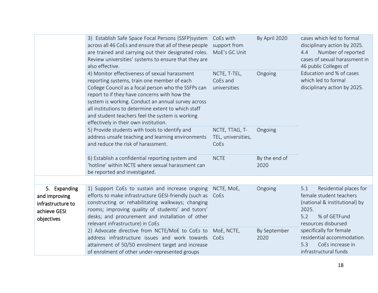|  |                                                                                  | 3) Establish Safe Space Focal Persons (SSFP) system<br>across all 46 CoEs and ensure that all of these people<br>are trained and carrying out their designated roles.<br>Review universities' systems to ensure that they are<br>also effective.                                                                                                                                                             | CoEs with<br>support from<br>MoE's GC Unit          | By April 2020         | cases which led to formal<br>disciplinary action by 2025.<br>Number of reported<br>4.4<br>cases of sexual harassment in<br>46 public Colleges of |  |  |
|--|----------------------------------------------------------------------------------|--------------------------------------------------------------------------------------------------------------------------------------------------------------------------------------------------------------------------------------------------------------------------------------------------------------------------------------------------------------------------------------------------------------|-----------------------------------------------------|-----------------------|--------------------------------------------------------------------------------------------------------------------------------------------------|--|--|
|  |                                                                                  | 4) Monitor effectiveness of sexual harassment<br>reporting systems, train one member of each<br>College Council as a focal person who the SSFPs can<br>report to if they have concerns with how the<br>system is working. Conduct an annual survey across<br>all institutions to determine extent to which staff<br>and student teachers feel the system is working<br>effectively in their own institution. | NCTE, T-TEL,<br>Ongoing<br>CoEs and<br>universities |                       | Education and % of cases<br>which led to formal<br>disciplinary action by 2025.                                                                  |  |  |
|  |                                                                                  | 5) Provide students with tools to identify and<br>address unsafe teaching and learning environments<br>and reduce the risk of harassment.                                                                                                                                                                                                                                                                    | NCTE, TTAG, T-<br>TEL, universities,<br>CoEs        | Ongoing               |                                                                                                                                                  |  |  |
|  |                                                                                  | 6) Establish a confidential reporting system and<br>'hotline' within NCTE where sexual harassment can<br>be reported and investigated.                                                                                                                                                                                                                                                                       | <b>NCTE</b>                                         | By the end of<br>2020 |                                                                                                                                                  |  |  |
|  |                                                                                  |                                                                                                                                                                                                                                                                                                                                                                                                              |                                                     |                       |                                                                                                                                                  |  |  |
|  | 5. Expanding<br>and improving<br>infrastructure to<br>achieve GESI<br>objectives | 1) Support CoEs to sustain and increase ongoing<br>efforts to make infrastructure GESI-friendly (such as<br>constructing or rehabilitating walkways; changing<br>rooms; improving quality of students' and tutors'<br>desks; and procurement and installation of other<br>relevant infrastructure) in CoEs                                                                                                   | NCTE, MoE,<br>CoEs                                  | Ongoing               | Residential places for<br>5.1<br>female student teachers<br>(national & institutional) by<br>2025.<br>5.2<br>% of GETFund<br>resources disbursed |  |  |
|  |                                                                                  | 2) Advocate directive from NCTE/MoE to CoEs to<br>address infrastructure issues and work towards<br>attainment of 50/50 enrolment target and increase<br>of enrolment of other under-represented groups                                                                                                                                                                                                      | MoE, NCTE,<br>CoEs                                  | By September<br>2020  | specifically for female<br>residential accommodation.<br>CoEs increase in<br>5.3<br>infrastructural funds                                        |  |  |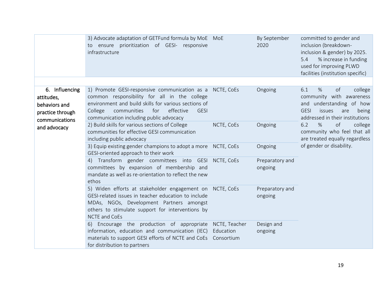|                                                                                                     | 3) Advocate adaptation of GETFund formula by MoE MoE<br>to ensure prioritization of GESI- responsive<br>infrastructure                                                                                                                                        |                                          | By September<br>2020       | committed to gender and<br>inclusion (breakdown-<br>inclusion & gender) by 2025.<br>% increase in funding<br>5.4<br>used for improving PLWD<br>facilities (institution specific) |
|-----------------------------------------------------------------------------------------------------|---------------------------------------------------------------------------------------------------------------------------------------------------------------------------------------------------------------------------------------------------------------|------------------------------------------|----------------------------|----------------------------------------------------------------------------------------------------------------------------------------------------------------------------------|
|                                                                                                     |                                                                                                                                                                                                                                                               |                                          |                            |                                                                                                                                                                                  |
| 6. Influencing<br>attitudes,<br>behaviors and<br>practice through<br>communications<br>and advocacy | 1) Promote GESI-responsive communication as a<br>common responsibility for all in the college<br>environment and build skills for various sections of<br>for<br>effective<br>College<br>communities<br><b>GESI</b><br>communication including public advocacy | NCTE, CoEs                               | Ongoing                    | $\%$<br>6.1<br>of<br>college<br>community with awareness<br>and understanding of how<br><b>GESI</b><br>issues<br>are<br>being<br>addressed in their institutions                 |
|                                                                                                     | 2) Build skills for various sections of College<br>communities for effective GESI communication<br>including public advocacy                                                                                                                                  | NCTE, CoEs                               | Ongoing                    | $\%$<br>of<br>college<br>6.2<br>community who feel that all<br>are treated equally regardless                                                                                    |
|                                                                                                     | 3) Equip existing gender champions to adopt a more NCTE, CoEs<br>GESI-oriented approach to their work                                                                                                                                                         |                                          | Ongoing                    | of gender or disability.                                                                                                                                                         |
|                                                                                                     | 4) Transform gender committees into GESI<br>committees by expansion of membership and<br>mandate as well as re-orientation to reflect the new<br>ethos                                                                                                        | NCTE, CoEs                               | Preparatory and<br>ongoing |                                                                                                                                                                                  |
|                                                                                                     | 5) Widen efforts at stakeholder engagement on NCTE, CoEs<br>GESI-related issues in teacher education to include<br>MDAs, NGOs, Development Partners amongst<br>others to stimulate support for interventions by<br><b>NCTE and CoEs</b>                       |                                          | Preparatory and<br>ongoing |                                                                                                                                                                                  |
|                                                                                                     | 6) Encourage the production of appropriate<br>information, education and communication (IEC)<br>materials to support GESI efforts of NCTE and CoEs<br>for distribution to partners                                                                            | NCTE, Teacher<br>Education<br>Consortium | Design and<br>ongoing      |                                                                                                                                                                                  |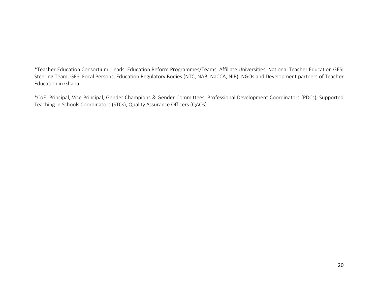\*Teacher Education Consortium: Leads, Education Reform Programmes/Teams, Affiliate Universities, National Teacher Education GESI Steering Team, GESI Focal Persons, Education Regulatory Bodies (NTC, NAB, NaCCA, NIB), NGOs and Development partners of Teacher Education in Ghana.

\*CoE: Principal, Vice Principal, Gender Champions & Gender Committees, Professional Development Coordinators (PDCs), Supported Teaching in Schools Coordinators (STCs), Quality Assurance Officers (QAOs)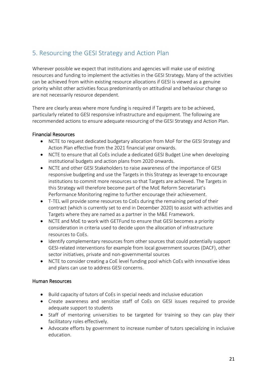## <span id="page-21-0"></span>5. Resourcing the GESI Strategy and Action Plan

Wherever possible we expect that institutions and agencies will make use of existing resources and funding to implement the activities in the GESI Strategy. Many of the activities can be achieved from within existing resource allocations if GESI is viewed as a genuine priority whilst other activities focus predominantly on attitudinal and behaviour change so are not necessarily resource dependent.

There are clearly areas where more funding is required if Targets are to be achieved, particularly related to GESI responsive infrastructure and equipment. The following are recommended actions to ensure adequate resourcing of the GESI Strategy and Action Plan.

#### Financial Resources

- NCTE to request dedicated budgetary allocation from MoF for the GESI Strategy and Action Plan effective from the 2021 financial year onwards.
- NCTE to ensure that all CoEs include a dedicated GESI Budget Line when developing institutional budgets and action plans from 2020 onwards.
- NCTE and other GESI Stakeholders to raise awareness of the importance of GESI responsive budgeting and use the Targets in this Strategy as leverage to encourage institutions to commit more resources so that Targets are achieved. The Targets in this Strategy will therefore become part of the MoE Reform Secretariat's Performance Monitoring regime to further encourage their achievement.
- T-TEL will provide some resources to CoEs during the remaining period of their contract (which is currently set to end in December 2020) to assist with activities and Targets where they are named as a partner in the M&E Framework.
- NCTE and MoE to work with GETFund to ensure that GESI becomes a priority consideration in criteria used to decide upon the allocation of infrastructure resources to CoEs.
- Identify complementary resources from other sources that could potentially support GESI-related interventions for example from local government sources (DACF), other sector initiatives, private and non-governmental sources
- NCTE to consider creating a CoE level funding pool which CoEs with innovative ideas and plans can use to address GESI concerns.

#### Human Resources

- Build capacity of tutors of CoEs in special needs and inclusive education
- Create awareness and sensitize staff of CoEs on GESI issues required to provide adequate support to students
- Staff of mentoring universities to be targeted for training so they can play their facilitatory roles effectively.
- Advocate efforts by government to increase number of tutors specializing in inclusive education.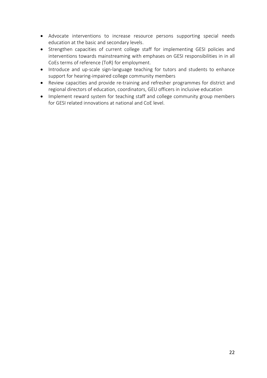- Advocate interventions to increase resource persons supporting special needs education at the basic and secondary levels.
- Strengthen capacities of current college staff for implementing GESI policies and interventions towards mainstreaming with emphases on GESI responsibilities in in all CoEs terms of reference (ToR) for employment.
- Introduce and up-scale sign-language teaching for tutors and students to enhance support for hearing-impaired college community members
- Review capacities and provide re-training and refresher programmes for district and regional directors of education, coordinators, GEU officers in inclusive education
- Implement reward system for teaching staff and college community group members for GESI related innovations at national and CoE level.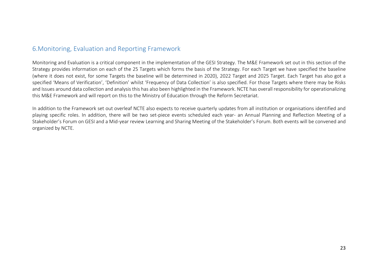#### 6.Monitoring, Evaluation and Reporting Framework

Monitoring and Evaluation is a critical component in the implementation of the GESI Strategy. The M&E Framework set out in this section of the Strategy provides information on each of the 25 Targets which forms the basis of the Strategy. For each Target we have specified the baseline (where it does not exist, for some Targets the baseline will be determined in 2020), 2022 Target and 2025 Target. Each Target has also got a specified 'Means of Verification', 'Definition' whilst 'Frequency of Data Collection' is also specified. For those Targets where there may be Risks and Issues around data collection and analysis this has also been highlighted in the Framework. NCTE has overall responsibility for operationalizing this M&E Framework and will report on this to the Ministry of Education through the Reform Secretariat.

<span id="page-23-0"></span>In addition to the Framework set out overleaf NCTE also expects to receive quarterly updates from all institution or organisations identified and playing specific roles. In addition, there will be two set-piece events scheduled each year- an Annual Planning and Reflection Meeting of a Stakeholder's Forum on GESI and a Mid-year review Learning and Sharing Meeting of the Stakeholder's Forum. Both events will be convened and organized by NCTE.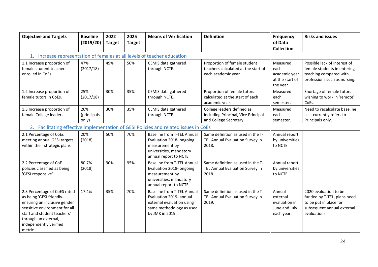| <b>Objective and Targets</b>                                                                                                                                                                                         | <b>Baseline</b><br>(2019/20) | 2022<br><b>Target</b> | 2025<br><b>Target</b> | <b>Means of Verification</b>                                                                                                             | <b>Definition</b>                                                                           | <b>Frequency</b><br>of Data<br><b>Collection</b>                   | <b>Risks and issues</b>                                                                                                      |  |  |  |
|----------------------------------------------------------------------------------------------------------------------------------------------------------------------------------------------------------------------|------------------------------|-----------------------|-----------------------|------------------------------------------------------------------------------------------------------------------------------------------|---------------------------------------------------------------------------------------------|--------------------------------------------------------------------|------------------------------------------------------------------------------------------------------------------------------|--|--|--|
| 1. Increase representation of females at all levels of teacher education                                                                                                                                             |                              |                       |                       |                                                                                                                                          |                                                                                             |                                                                    |                                                                                                                              |  |  |  |
| 1.1 Increase proportion of<br>female student teachers<br>enrolled in CoEs.                                                                                                                                           | 47%<br>(2017/18)             | 49%                   | 50%                   | CEMIS data gathered<br>through NCTE.                                                                                                     | Proportion of female student<br>teachers calculated at the start of<br>each academic year   | Measured<br>each<br>academic year<br>at the start of<br>the year   | Possible lack of interest of<br>female students in entering<br>teaching compared with<br>professions such as nursing.        |  |  |  |
| 1.2 Increase proportion of<br>female tutors in CoEs.                                                                                                                                                                 | 25%<br>(2017/18)             | 30%                   | 35%                   | CEMIS data gathered<br>through NCTE.                                                                                                     | Proportion of female tutors<br>calculated at the start of each<br>academic year.            | Measured<br>each<br>semester.                                      | Shortage of female tutors<br>wishing to work in 'remote'<br>CoEs.                                                            |  |  |  |
| 1.3 Increase proportion of<br>female College leaders.                                                                                                                                                                | 26%<br>(principals<br>only)  | 30%                   | 35%                   | CEMIS data gathered<br>through NCTE.                                                                                                     | College leaders defined as<br>including Principal, Vice Principal<br>and College Secretary. | Measured<br>each<br>semester.                                      | Need to recalculate baseline<br>as it currently refers to<br>Principals only.                                                |  |  |  |
|                                                                                                                                                                                                                      |                              |                       |                       | 2. Facilitating effective implementation of GESI Policies and related issues in CoEs                                                     |                                                                                             |                                                                    |                                                                                                                              |  |  |  |
| 2.1 Percentage of CoEs<br>meeting annual GESI targets<br>within their strategic plans                                                                                                                                | 20%<br>(2018)                | 50%                   | 70%                   | <b>Baseline from T-TEL Annual</b><br>Evaluation 2018- ongoing<br>measurement by<br>universities, mandatory<br>annual report to NCTE      | Same definition as used in the T-<br>TEL Annual Evaluation Survey in<br>2018.               | Annual report<br>by universities<br>to NCTE.                       |                                                                                                                              |  |  |  |
| 2.2 Percentage of CoE<br>policies classified as being<br>'GESI responsive'                                                                                                                                           | 80.7%<br>(2018)              | 90%                   | 95%                   | <b>Baseline from T-TEL Annual</b><br>Evaluation 2018- ongoing<br>measurement by<br>universities, mandatory<br>annual report to NCTE      | Same definition as used in the T-<br>TEL Annual Evaluation Survey in<br>2018.               | Annual report<br>by universities<br>to NCTE.                       |                                                                                                                              |  |  |  |
| 2.3 Percentage of CoES rated<br>as being 'GESI friendly-<br>ensuring an inclusive gender<br>sensitive environment for all<br>staff and student teachers'<br>through an external,<br>independently verified<br>metric | 17.4%                        | 35%                   | 70%                   | <b>Baseline from T-TEL Annual</b><br>Evaluation 2019- annual<br>external evaluation using<br>same methodology as used<br>by JMK in 2019. | Same definition as used in the T-<br>TEL Annual Evaluation Survey in<br>2019.               | Annual<br>external<br>evaluation in<br>June and July<br>each year. | 2020 evaluation to be<br>funded by T-TEL, plans need<br>to be put in place for<br>subsequent annual external<br>evaluations. |  |  |  |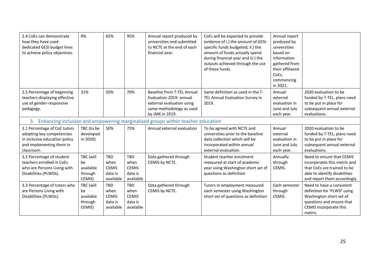| 2.4 CoEs can demonstrate<br>how they have used<br>dedicated GESI budget lines<br>to achieve policy objectives.         | 0%                                                | 65%                                                        | 95%                                                 | Annual report produced by<br>universities and submitted<br>to NCTE at the end of each<br>financial year. | CoEs will be expected to provide<br>evidence of i.) the amount of GESI-<br>specific funds budgeted; ii.) the<br>amount of funds actually spend<br>during financial year and iii.) the<br>outputs achieved through the use<br>of these funds. | Annual report<br>produced by<br>universities<br>based on<br>information<br>gathered from<br>their affiliated<br>CoEs,<br>commencing<br>in 2021. |                                                                                                                                                       |
|------------------------------------------------------------------------------------------------------------------------|---------------------------------------------------|------------------------------------------------------------|-----------------------------------------------------|----------------------------------------------------------------------------------------------------------|----------------------------------------------------------------------------------------------------------------------------------------------------------------------------------------------------------------------------------------------|-------------------------------------------------------------------------------------------------------------------------------------------------|-------------------------------------------------------------------------------------------------------------------------------------------------------|
| 2.5 Percentage of beginning                                                                                            | 31%                                               | 50%                                                        | 70%                                                 | Baseline from T-TEL Annual                                                                               | Same definition as used in the T-                                                                                                                                                                                                            | Annual                                                                                                                                          | 2020 evaluation to be                                                                                                                                 |
| teachers displaying effective                                                                                          |                                                   |                                                            |                                                     | Evaluation 2019- annual                                                                                  | TEL Annual Evaluation Survey in                                                                                                                                                                                                              | external                                                                                                                                        | funded by T-TEL, plans need                                                                                                                           |
| use of gender-responsive<br>pedagogy.                                                                                  |                                                   |                                                            |                                                     | external evaluation using<br>same methodology as used                                                    | 2019.                                                                                                                                                                                                                                        | evaluation in<br>June and July                                                                                                                  | to be put in place for<br>subsequent annual external                                                                                                  |
|                                                                                                                        |                                                   |                                                            |                                                     | by JMK in 2019.                                                                                          |                                                                                                                                                                                                                                              | each year.                                                                                                                                      | evaluations.                                                                                                                                          |
|                                                                                                                        |                                                   |                                                            |                                                     | 3. Enhancing inclusion and empowering marginalised groups within teacher education                       |                                                                                                                                                                                                                                              |                                                                                                                                                 |                                                                                                                                                       |
| 3.1 Percentage of CoE tutors<br>adopting key competencies<br>in inclusive education policy<br>and implementing them in | TBC (to be<br>developed<br>in 2020)               | 50%                                                        | 75%                                                 | Annual external evaluation                                                                               | To be agreed with NCTE and<br>universities prior to the baseline<br>data collection which will be<br>incorporated within annual                                                                                                              | Annual<br>external<br>evaluation in<br>June and July                                                                                            | 2020 evaluation to be<br>funded by T-TEL, plans need<br>to be put in place for<br>subsequent annual external                                          |
| classroom                                                                                                              |                                                   |                                                            |                                                     |                                                                                                          | external evaluation.                                                                                                                                                                                                                         | each year.                                                                                                                                      | evaluations.                                                                                                                                          |
| 3.2 Percentage of student<br>teachers enrolled in CoEs<br>who are Persons Living with<br>Disabilities (PLWDs).         | TBC (will<br>be<br>available<br>through           | TBD<br>when<br><b>CEMIS</b><br>data is                     | TBD<br>when<br><b>CEMIS</b><br>data is              | Data gathered through<br>CEMIS by NCTE.                                                                  | Student teacher enrolment<br>measured at start of academic<br>year using Washington short set of<br>questions as definition                                                                                                                  | Annually<br>through<br>CEMIS.                                                                                                                   | Need to ensure that CEMIS<br>incorporates this metric and<br>that CoEs are trained to be<br>able to identify disabilities                             |
|                                                                                                                        | CEMIS)                                            | available                                                  | available                                           |                                                                                                          |                                                                                                                                                                                                                                              |                                                                                                                                                 | and report them accordingly.                                                                                                                          |
| 3.3 Percentage of tutors who<br>are Persons Living with<br>Disabilities (PLWDs).                                       | TBC (will<br>be<br>available<br>through<br>CEMIS) | <b>TBD</b><br>when<br><b>CEMIS</b><br>data is<br>available | TBD<br>when<br><b>CEMIS</b><br>data is<br>available | Data gathered through<br>CEMIS by NCTE.                                                                  | Tutors in employment measured<br>each semester using Washington<br>short set of questions as definition                                                                                                                                      | Each semester<br>through<br>CEMIS.                                                                                                              | Need to have a consistent<br>definition for 'PLWD' using<br>Washington short set of<br>questions and ensure that<br>CEMIS incorporate this<br>metric. |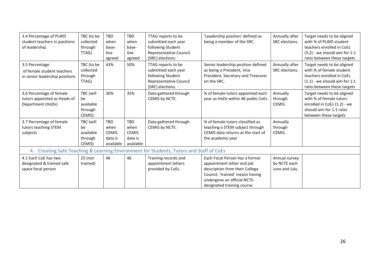| 3.4 Percentage of PLWD<br>student teachers in positions<br>of leadership.      | TBC (to be<br>collected<br>through<br>TTAG)       | TBD<br>when<br>base-<br>line<br>agreed              | <b>TBD</b><br>when<br>base-<br>line<br>agreed       | TTAG reports to be<br>submitted each year<br>following Student<br><b>Representative Council</b><br>(SRC) elections.                                         | 'Leadership position' defined as<br>being a member of the SRC.                                                                                                                                  | Annually after<br>SRC elections.                | Target needs to be aligned<br>with % of PLWD student<br>teachers enrolled in CoEs<br>$(3.2)$ - we should aim for 1:1<br>ratio between these targets   |
|--------------------------------------------------------------------------------|---------------------------------------------------|-----------------------------------------------------|-----------------------------------------------------|-------------------------------------------------------------------------------------------------------------------------------------------------------------|-------------------------------------------------------------------------------------------------------------------------------------------------------------------------------------------------|-------------------------------------------------|-------------------------------------------------------------------------------------------------------------------------------------------------------|
| 3.5 Percentage<br>of female student teachers<br>in senior leadership positions | TBC (to be<br>collected<br>through<br>TTAG)       | 43%                                                 | 50%                                                 | TTAG reports to be<br>submitted each year<br>following Student<br>Representative Council<br>(SRC) elections.                                                | Senior leadership position defined<br>as being a President, Vice<br>President, Secretary and Treasurer<br>on the SRC.                                                                           | Annually after<br>SRC elections.                | Target needs to be aligned<br>with % of female student<br>teachers enrolled in CoEs<br>$(1.1)$ - we should aim for 1:1<br>ratio between these targets |
| 3.6 Percentage of female<br>tutors appointed as Heads of<br>Department (HoDs)  | TBC (will<br>be<br>available<br>through<br>CEMIS) | 30%                                                 | 35%                                                 | Data gathered through<br>CEMIS by NCTE.                                                                                                                     | % of female tutors appointed each<br>year as HoDs within 46 public CoEs                                                                                                                         | Annually<br>through<br>CEMIS.                   | Target needs to be aligned<br>with % of female tutors<br>enrolled in CoEs (1.2) - we<br>should aim for 1:1 ratio<br>between these targets             |
| 3.7 Percentage of female<br>tutors teaching STEM<br>subjects                   | TBC (will<br>be<br>available<br>through<br>CEMIS) | TBD<br>when<br><b>CEMIS</b><br>data is<br>available | TBD<br>when<br><b>CEMIS</b><br>data is<br>available | Data gathered through<br>CEMIS by NCTE.                                                                                                                     | % of female tutors classified as<br>teaching a STEM subject through<br>CEMIS data returns at the start of<br>the academic year                                                                  | Annually<br>through<br>CEMIS.                   |                                                                                                                                                       |
| 4.1 Each CoE has two<br>designated & trained safe<br>space focal person        | 25 (not<br>trained)                               | 46                                                  | 46                                                  | 4. Creating Safe Teaching & Learning Environment for Students, Tutors and Staff of CoEs<br>Training records and<br>appointment letters<br>provided by CoEs. | Each Focal Person has a formal<br>appointment letter and job<br>description from their College<br>Council, 'trained' means having<br>undergone an official NCTE-<br>designated training course. | Annual survey<br>by NCTE each<br>June and July. |                                                                                                                                                       |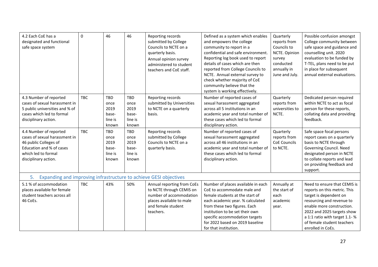| 4.2 Each CoE has a<br>designated and functional<br>safe space system                                                                                        | 0          | 46                                                      | 46                                               | Reporting records<br>submitted by College<br>Councils to NCTE on a<br>quarterly basis.<br>Annual opinion survey<br>administered to student<br>teachers and CoE staff. | Defined as a system which enables<br>and empowers the college<br>community to report in a<br>confidential and safe environment.<br>Reporting log book used to report<br>details of cases which are then<br>reported from College Councils to<br>NCTE. Annual external survey to<br>check whether majority of CoE<br>community believe that the<br>system is working effectively. | Quarterly<br>reports from<br>Councils to<br>NCTE. Opinion<br>survey<br>conducted<br>annually in<br>June and July. | Possible confusion amongst<br>College community between<br>safe space and guidance and<br>counselling unit. 2020<br>evaluation to be funded by<br>T-TEL, plans need to be put<br>in place for subsequent<br>annual external evaluations.                           |
|-------------------------------------------------------------------------------------------------------------------------------------------------------------|------------|---------------------------------------------------------|--------------------------------------------------|-----------------------------------------------------------------------------------------------------------------------------------------------------------------------|----------------------------------------------------------------------------------------------------------------------------------------------------------------------------------------------------------------------------------------------------------------------------------------------------------------------------------------------------------------------------------|-------------------------------------------------------------------------------------------------------------------|--------------------------------------------------------------------------------------------------------------------------------------------------------------------------------------------------------------------------------------------------------------------|
| 4.3 Number of reported<br>cases of sexual harassment in<br>5 public universities and % of<br>cases which led to formal<br>disciplinary action.              | <b>TBC</b> | <b>TBD</b><br>once<br>2019<br>base-<br>line is<br>known | TBD<br>once<br>2019<br>base-<br>line is<br>known | Reporting records<br>submitted by Universities<br>to NCTE on a quarterly<br>basis.                                                                                    | Number of reported cases of<br>sexual harassment aggregated<br>across all 5 institutions in an<br>academic year and total number of<br>these cases which led to formal<br>disciplinary action.                                                                                                                                                                                   | Quarterly<br>reports from<br>universities to<br>NCTE.                                                             | Dedicated person required<br>within NCTE to act as focal<br>person for these reports,<br>collating data and providing<br>feedback.                                                                                                                                 |
| 4.4 Number of reported<br>cases of sexual harassment in<br>46 public Colleges of<br>Education and % of cases<br>which led to formal<br>disciplinary action. | <b>TBC</b> | <b>TBD</b><br>once<br>2019<br>base-<br>line is<br>known | TBD<br>once<br>2019<br>base-<br>line is<br>known | Reporting records<br>submitted by College<br>Councils to NCTE on a<br>quarterly basis.                                                                                | Number of reported cases of<br>sexual harassment aggregated<br>across all 46 institutions in an<br>academic year and total number of<br>these cases which led to formal<br>disciplinary action.                                                                                                                                                                                  | Quarterly<br>reports from<br><b>CoE Councils</b><br>to NCTE.                                                      | Safe space focal persons<br>report cases on a quarterly<br>basis to NCTE through<br>Governing Council. Need<br>designated person in NCTE<br>to collate reports and lead<br>on providing feedback and<br>support.                                                   |
| 5.                                                                                                                                                          |            |                                                         |                                                  | Expanding and improving infrastructure to achieve GESI objectives                                                                                                     |                                                                                                                                                                                                                                                                                                                                                                                  |                                                                                                                   |                                                                                                                                                                                                                                                                    |
| 5.1 % of accommodation<br>places available for female<br>student teachers across all<br>46 CoEs.                                                            | <b>TBC</b> | 43%                                                     | 50%                                              | Annual reporting from CoEs<br>to NCTE through CEMIS on<br>number of accommodation<br>places available to male<br>and female student<br>teachers.                      | Number of places available in each<br>CoE to accommodate male and<br>female students at the start of<br>each academic year. % calculated<br>from these two figures. Each<br>institution to be set their own<br>specific accommodation targets<br>for 2022 based on 2019 baseline<br>for that institution.                                                                        | Annually at<br>the start of<br>each<br>academic<br>year.                                                          | Need to ensure that CEMIS is<br>reports on this metric. This<br>target is dependent on<br>resourcing and revenue to<br>enable more construction.<br>2022 and 2025 targets show<br>a 1:1 ratio with target 1.1-%<br>of female student teachers<br>enrolled in CoEs. |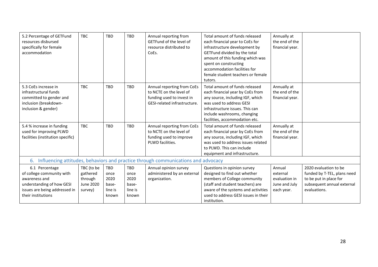| 5.2 Percentage of GETFund<br>resources disbursed<br>specifically for female<br>accommodation                                                     | <b>TBC</b>                                                | <b>TBD</b>                                              | <b>TBD</b>                                       | Annual reporting from<br>GETFund of the level of<br>resource distributed to<br>CoEs.                               | Total amount of funds released<br>each financial year to CoEs for<br>infrastructure development by<br>GETFund divided by the total<br>amount of this funding which was<br>spent on constructing<br>accommodation facilities for<br>female student teachers or female<br>tutors. | Annually at<br>the end of the<br>financial year.                   |                                                                                                                              |  |  |  |
|--------------------------------------------------------------------------------------------------------------------------------------------------|-----------------------------------------------------------|---------------------------------------------------------|--------------------------------------------------|--------------------------------------------------------------------------------------------------------------------|---------------------------------------------------------------------------------------------------------------------------------------------------------------------------------------------------------------------------------------------------------------------------------|--------------------------------------------------------------------|------------------------------------------------------------------------------------------------------------------------------|--|--|--|
| 5.3 CoEs increase in<br>infrastructural funds<br>committed to gender and<br>inclusion (breakdown-<br>inclusion & gender)                         | <b>TBC</b>                                                | <b>TBD</b>                                              | TBD                                              | Annual reporting from CoEs<br>to NCTE on the level of<br>funding used to invest in<br>GESI-related infrastructure. | Total amount of funds released<br>each financial year by CoEs from<br>any source, including IGF, which<br>was used to address GESI<br>infrastructure issues. This can<br>include washrooms, changing<br>facilities, accommodation etc.                                          | Annually at<br>the end of the<br>financial year.                   |                                                                                                                              |  |  |  |
| 5.4 % increase in funding<br>used for improving PLWD<br>facilities (institution specific)                                                        | <b>TBC</b>                                                | <b>TBD</b>                                              | TBD                                              | Annual reporting from CoEs<br>to NCTE on the level of<br>funding used to improve<br>PLWD facilities.               | Total amount of funds released<br>each financial year by CoEs from<br>any source, including IGF, which<br>was used to address issues related<br>to PLWD. This can include<br>equipment and infrastructure.                                                                      | Annually at<br>the end of the<br>financial year.                   |                                                                                                                              |  |  |  |
| Influencing attitudes, behaviors and practice through communications and advocacy<br>6.                                                          |                                                           |                                                         |                                                  |                                                                                                                    |                                                                                                                                                                                                                                                                                 |                                                                    |                                                                                                                              |  |  |  |
| 6.1 Percentage<br>of college community with<br>awareness and<br>understanding of how GESI<br>issues are being addressed in<br>their institutions | TBC (to be<br>gathered<br>through<br>June 2020<br>survey) | <b>TBD</b><br>once<br>2020<br>base-<br>line is<br>known | TBD<br>once<br>2020<br>base-<br>line is<br>known | Annual opinion survey<br>administered by an external<br>organization.                                              | Questions in opinion survey<br>designed to find out whether<br>members of College community<br>(staff and student teachers) are<br>aware of the systems and activities<br>used to address GESI issues in their<br>institution.                                                  | Annual<br>external<br>evaluation in<br>June and July<br>each year. | 2020 evaluation to be<br>funded by T-TEL, plans need<br>to be put in place for<br>subsequent annual external<br>evaluations. |  |  |  |